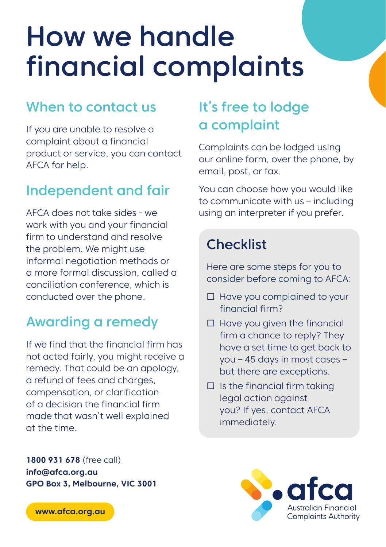# How we handle financial complaints

### When to contact us

If you are unable to resolve a complaint about a financial product or service, you can contact AFCA for help.

### Independent and fair

AFCA does not take sides - we work with you and your financial firm to understand and resolve the problem. We might use informal negotiation methods or a more formal discussion, called a conciliation conference, which is conducted over the phone.

## Awarding a remedy

If we find that the financial firm has not acted fairly, you might receive a remedy. That could be an apology, a refund of fees and charges, compensation, or clarification of a decision the financial firm made that wasn't well explained at the time.

## It's free to lodge a complaint

Complaints can be lodged using our online form, over the phone, by email, post, or fax.

You can choose how you would like to communicate with us – including using an interpreter if you prefer.

## **Checklist**

Here are some steps for you to consider before coming to AFCA:

- $\Box$  Have you complained to your financial firm?
- $\Box$  Have you given the financial firm a chance to reply? They have a set time to get back to you – 45 days in most cases – but there are exceptions.
- $\Box$  Is the financial firm taking legal action against you? If yes, contact AFCA immediately.

**1800 931 678** (free call) **info@afca.org.au GPO Box 3, Melbourne, VIC 3001**



**www.afca.org.au**